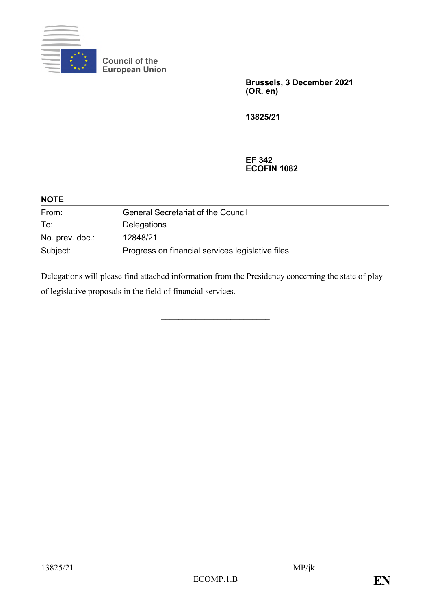

 $\ddotsc$ 

**Council of the European Union**

> **Brussels, 3 December 2021 (OR. en)**

**13825/21**

## **EF 342 ECOFIN 1082**

| NUIE            |                                                  |  |
|-----------------|--------------------------------------------------|--|
| From:           | <b>General Secretariat of the Council</b>        |  |
| To:             | Delegations                                      |  |
| No. prev. doc.: | 12848/21                                         |  |
| Subject:        | Progress on financial services legislative files |  |

Delegations will please find attached information from the Presidency concerning the state of play of legislative proposals in the field of financial services.

\_\_\_\_\_\_\_\_\_\_\_\_\_\_\_\_\_\_\_\_\_\_\_\_\_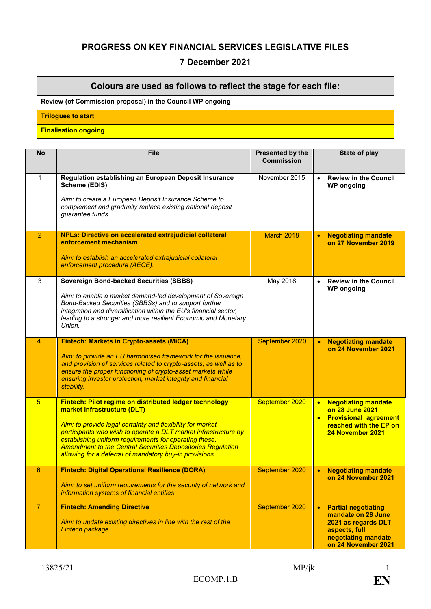## **PROGRESS ON KEY FINANCIAL SERVICES LEGISLATIVE FILES**

## **7 December 2021**

## **Colours are used as follows to reflect the stage for each file:**

**Review (of Commission proposal) in the Council WP ongoing**

**Trilogues to start**

**Finalisation ongoing** 

| <b>No</b>       | <b>File</b>                                                                                                                                                                                                                                                                                                                                                                                                       | Presented by the<br><b>Commission</b> | State of play                                                                                                                            |
|-----------------|-------------------------------------------------------------------------------------------------------------------------------------------------------------------------------------------------------------------------------------------------------------------------------------------------------------------------------------------------------------------------------------------------------------------|---------------------------------------|------------------------------------------------------------------------------------------------------------------------------------------|
| $\mathbf{1}$    | Regulation establishing an European Deposit Insurance<br><b>Scheme (EDIS)</b><br>Aim: to create a European Deposit Insurance Scheme to<br>complement and gradually replace existing national deposit<br>guarantee funds.                                                                                                                                                                                          | November 2015                         | <b>Review in the Council</b><br>$\bullet$<br><b>WP</b> ongoing                                                                           |
| $\overline{2}$  | <b>NPLs: Directive on accelerated extrajudicial collateral</b><br>enforcement mechanism<br>Aim: to establish an accelerated extrajudicial collateral<br>enforcement procedure (AECE).                                                                                                                                                                                                                             | March 2018                            | <b>Negotiating mandate</b><br>on 27 November 2019                                                                                        |
| $\overline{3}$  | <b>Sovereign Bond-backed Securities (SBBS)</b><br>Aim: to enable a market demand-led development of Sovereign<br>Bond-Backed Securities (SBBSs) and to support further<br>integration and diversification within the EU's financial sector,<br>leading to a stronger and more resilient Economic and Monetary<br>Union.                                                                                           | May 2018                              | <b>Review in the Council</b><br>$\bullet$<br><b>WP</b> ongoing                                                                           |
| 4               | <b>Fintech: Markets in Crypto-assets (MiCA)</b><br>Aim: to provide an EU harmonised framework for the issuance,<br>and provision of services related to crypto-assets, as well as to<br>ensure the proper functioning of crypto-asset markets while<br>ensuring investor protection, market integrity and financial<br>stability.                                                                                 | September 2020                        | <b>Negotiating mandate</b><br>on 24 November 2021                                                                                        |
| $5\overline{)}$ | Fintech: Pilot regime on distributed ledger technology<br>market infrastructure (DLT)<br>Aim: to provide legal certainty and flexibility for market<br>participants who wish to operate a DLT market infrastructure by<br>establishing uniform requirements for operating these.<br><b>Amendment to the Central Securities Depositories Regulation</b><br>allowing for a deferral of mandatory buy-in provisions. | September 2020                        | <b>Negotiating mandate</b><br>$\bullet$<br>on 28 June 2021<br><b>Provisional agreement</b><br>reached with the EP on<br>24 November 2021 |
| 6               | <b>Fintech: Digital Operational Resilience (DORA)</b><br>Aim: to set uniform requirements for the security of network and<br>information systems of financial entities.                                                                                                                                                                                                                                           | September 2020                        | <b>Negotiating mandate</b><br>$\bullet$<br>on 24 November 2021                                                                           |
| $\overline{7}$  | <b>Fintech: Amending Directive</b><br>Aim: to update existing directives in line with the rest of the<br>Fintech package.                                                                                                                                                                                                                                                                                         | September 2020                        | <b>Partial negotiating</b><br>mandate on 28 June<br>2021 as regards DLT<br>aspects, full<br>negotiating mandate<br>on 24 November 2021   |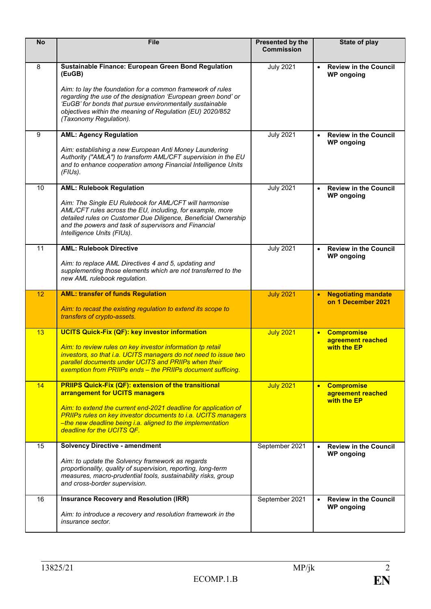| <b>No</b>       | <b>File</b>                                                                                                                                                                                                                                                                                                                                     | Presented by the<br><b>Commission</b> | State of play                                                      |
|-----------------|-------------------------------------------------------------------------------------------------------------------------------------------------------------------------------------------------------------------------------------------------------------------------------------------------------------------------------------------------|---------------------------------------|--------------------------------------------------------------------|
| 8               | Sustainable Finance: European Green Bond Regulation<br>(EuGB)<br>Aim: to lay the foundation for a common framework of rules<br>regarding the use of the designation 'European green bond' or<br>'EuGB' for bonds that pursue environmentally sustainable<br>objectives within the meaning of Regulation (EU) 2020/852<br>(Taxonomy Regulation). | <b>July 2021</b>                      | <b>Review in the Council</b><br>$\bullet$<br><b>WP</b> ongoing     |
| 9               | <b>AML: Agency Regulation</b><br>Aim: establishing a new European Anti Money Laundering<br>Authority ("AMLA") to transform AML/CFT supervision in the EU<br>and to enhance cooperation among Financial Intelligence Units<br>(FlUs).                                                                                                            | <b>July 2021</b>                      | <b>Review in the Council</b><br>$\bullet$<br><b>WP</b> ongoing     |
| $\overline{10}$ | <b>AML: Rulebook Regulation</b><br>Aim: The Single EU Rulebook for AML/CFT will harmonise<br>AML/CFT rules across the EU, including, for example, more<br>detailed rules on Customer Due Diligence, Beneficial Ownership<br>and the powers and task of supervisors and Financial<br>Intelligence Units (FIUs).                                  | <b>July 2021</b>                      | <b>Review in the Council</b><br><b>WP</b> ongoing                  |
| $\overline{11}$ | <b>AML: Rulebook Directive</b><br>Aim: to replace AML Directives 4 and 5, updating and<br>supplementing those elements which are not transferred to the<br>new AML rulebook regulation.                                                                                                                                                         | <b>July 2021</b>                      | <b>Review in the Council</b><br><b>WP</b> ongoing                  |
| 12              | <b>AML: transfer of funds Regulation</b><br>Aim: to recast the existing regulation to extend its scope to<br>transfers of crypto-assets.                                                                                                                                                                                                        | <b>July 2021</b>                      | <b>Negotiating mandate</b><br>on 1 December 2021                   |
| 13              | <b>UCITS Quick-Fix (QF): key investor information</b><br>Aim: to review rules on key investor information tp retail<br>investors, so that i.a. UCITS managers do not need to issue two<br>parallel documents under UCITS and PRIIPs when their<br>exemption from PRIIPs ends - the PRIIPs document sufficing.                                   | <b>July 2021</b>                      | <b>Compromise</b><br>$\bullet$<br>agreement reached<br>with the EP |
| 14              | <b>PRIIPS Quick-Fix (QF): extension of the transitional</b><br>arrangement for UCITS managers<br>Aim: to extend the current end-2021 deadline for application of<br><b>PRIIPs rules on key investor documents to i.a. UCITS managers</b><br>-the new deadline being i.a. aligned to the implementation<br>deadline for the UCITS QF.            | <b>July 2021</b>                      | <b>Compromise</b><br>$\bullet$<br>agreement reached<br>with the EP |
| 15              | <b>Solvency Directive - amendment</b><br>Aim: to update the Solvency framework as regards<br>proportionality, quality of supervision, reporting, long-term<br>measures, macro-prudential tools, sustainability risks, group<br>and cross-border supervision.                                                                                    | September 2021                        | <b>Review in the Council</b><br>$\bullet$<br><b>WP</b> ongoing     |
| 16              | <b>Insurance Recovery and Resolution (IRR)</b><br>Aim: to introduce a recovery and resolution framework in the<br>insurance sector.                                                                                                                                                                                                             | September 2021                        | <b>Review in the Council</b><br>$\bullet$<br><b>WP</b> ongoing     |